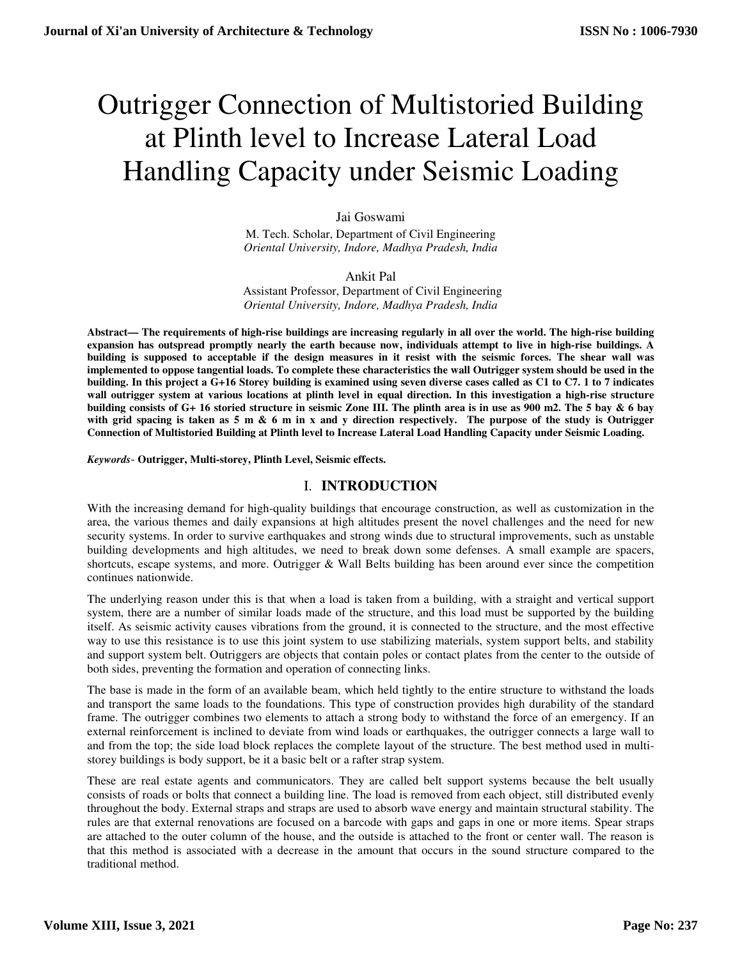# Outrigger Connection of Multistoried Building at Plinth level to Increase Lateral Load Handling Capacity under Seismic Loading

#### Jai Goswami

M. Tech. Scholar, Department of Civil Engineering *Oriental University, Indore, Madhya Pradesh, India* 

#### Ankit Pal

Assistant Professor, Department of Civil Engineering *Oriental University, Indore, Madhya Pradesh, India* 

**Abstract— The requirements of high-rise buildings are increasing regularly in all over the world. The high-rise building expansion has outspread promptly nearly the earth because now, individuals attempt to live in high-rise buildings. A building is supposed to acceptable if the design measures in it resist with the seismic forces. The shear wall was implemented to oppose tangential loads. To complete these characteristics the wall Outrigger system should be used in the building. In this project a G+16 Storey building is examined using seven diverse cases called as C1 to C7. 1 to 7 indicates wall outrigger system at various locations at plinth level in equal direction. In this investigation a high-rise structure building consists of G+ 16 storied structure in seismic Zone III. The plinth area is in use as 900 m2. The 5 bay & 6 bay with grid spacing is taken as 5 m & 6 m in x and y direction respectively. The purpose of the study is Outrigger Connection of Multistoried Building at Plinth level to Increase Lateral Load Handling Capacity under Seismic Loading.** 

*Keywords*- **Outrigger, Multi-storey, Plinth Level, Seismic effects.**

# I. **INTRODUCTION**

With the increasing demand for high-quality buildings that encourage construction, as well as customization in the area, the various themes and daily expansions at high altitudes present the novel challenges and the need for new security systems. In order to survive earthquakes and strong winds due to structural improvements, such as unstable building developments and high altitudes, we need to break down some defenses. A small example are spacers, shortcuts, escape systems, and more. Outrigger & Wall Belts building has been around ever since the competition continues nationwide.

The underlying reason under this is that when a load is taken from a building, with a straight and vertical support system, there are a number of similar loads made of the structure, and this load must be supported by the building itself. As seismic activity causes vibrations from the ground, it is connected to the structure, and the most effective way to use this resistance is to use this joint system to use stabilizing materials, system support belts, and stability and support system belt. Outriggers are objects that contain poles or contact plates from the center to the outside of both sides, preventing the formation and operation of connecting links.

The base is made in the form of an available beam, which held tightly to the entire structure to withstand the loads and transport the same loads to the foundations. This type of construction provides high durability of the standard frame. The outrigger combines two elements to attach a strong body to withstand the force of an emergency. If an external reinforcement is inclined to deviate from wind loads or earthquakes, the outrigger connects a large wall to and from the top; the side load block replaces the complete layout of the structure. The best method used in multistorey buildings is body support, be it a basic belt or a rafter strap system.

These are real estate agents and communicators. They are called belt support systems because the belt usually consists of roads or bolts that connect a building line. The load is removed from each object, still distributed evenly throughout the body. External straps and straps are used to absorb wave energy and maintain structural stability. The rules are that external renovations are focused on a barcode with gaps and gaps in one or more items. Spear straps are attached to the outer column of the house, and the outside is attached to the front or center wall. The reason is that this method is associated with a decrease in the amount that occurs in the sound structure compared to the traditional method.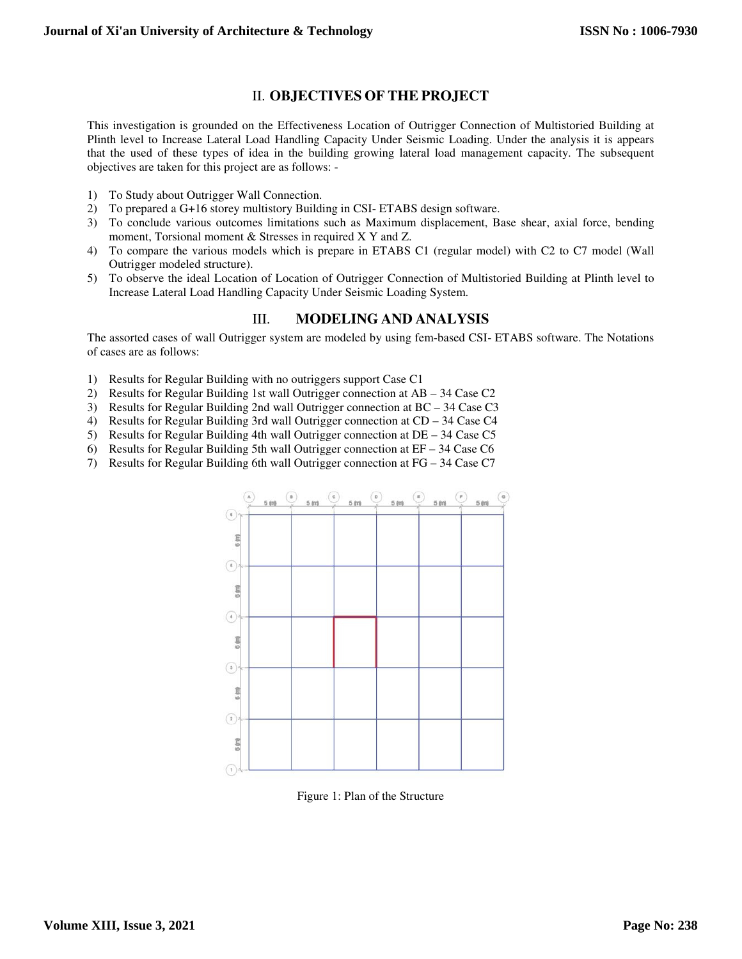# II. **OBJECTIVES OF THE PROJECT**

This investigation is grounded on the Effectiveness Location of Outrigger Connection of Multistoried Building at Plinth level to Increase Lateral Load Handling Capacity Under Seismic Loading. Under the analysis it is appears that the used of these types of idea in the building growing lateral load management capacity. The subsequent objectives are taken for this project are as follows: -

- 1) To Study about Outrigger Wall Connection.
- 2) To prepared a G+16 storey multistory Building in CSI- ETABS design software.
- 3) To conclude various outcomes limitations such as Maximum displacement, Base shear, axial force, bending moment, Torsional moment & Stresses in required X Y and Z.
- 4) To compare the various models which is prepare in ETABS C1 (regular model) with C2 to C7 model (Wall Outrigger modeled structure).
- 5) To observe the ideal Location of Location of Outrigger Connection of Multistoried Building at Plinth level to Increase Lateral Load Handling Capacity Under Seismic Loading System.

### III. **MODELING AND ANALYSIS**

The assorted cases of wall Outrigger system are modeled by using fem-based CSI- ETABS software. The Notations of cases are as follows:

- 1) Results for Regular Building with no outriggers support Case C1
- 2) Results for Regular Building 1st wall Outrigger connection at AB 34 Case C2
- 3) Results for Regular Building 2nd wall Outrigger connection at BC 34 Case C3
- 4) Results for Regular Building 3rd wall Outrigger connection at CD 34 Case C4
- 5) Results for Regular Building 4th wall Outrigger connection at DE 34 Case C5
- 6) Results for Regular Building 5th wall Outrigger connection at EF 34 Case C6
- 7) Results for Regular Building 6th wall Outrigger connection at FG 34 Case C7



Figure 1: Plan of the Structure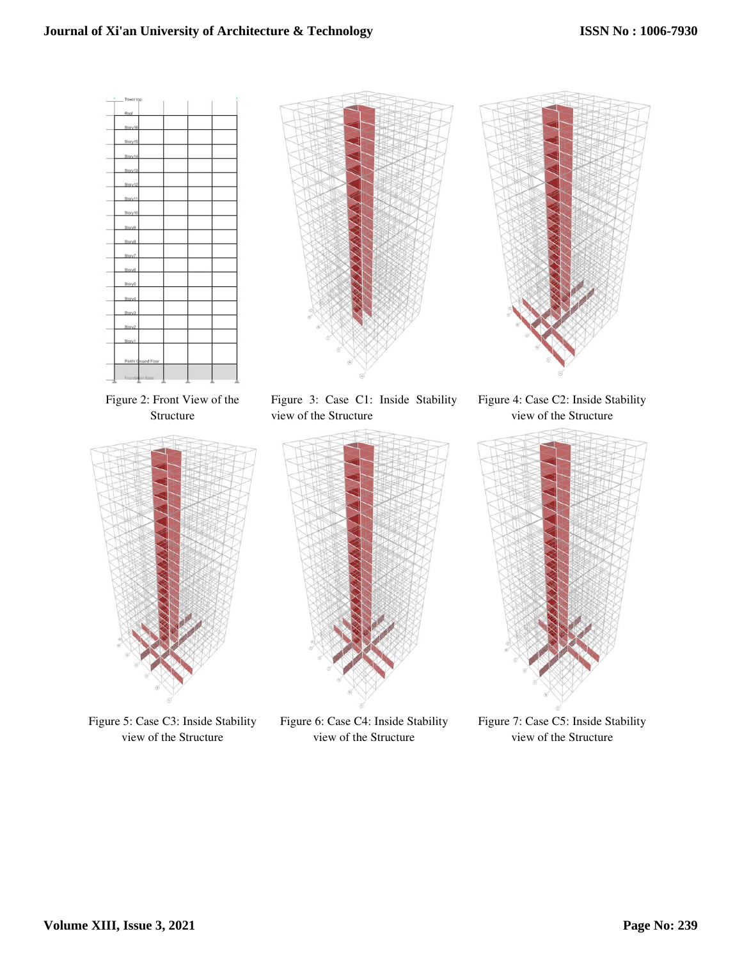# **Journal of Xi'an University of Architecture & Technology**



Figure 5: Case C3: Inside Stability view of the Structure

Figure 6: Case C4: Inside Stability view of the Structure

Figure 7: Case C5: Inside Stability view of the Structure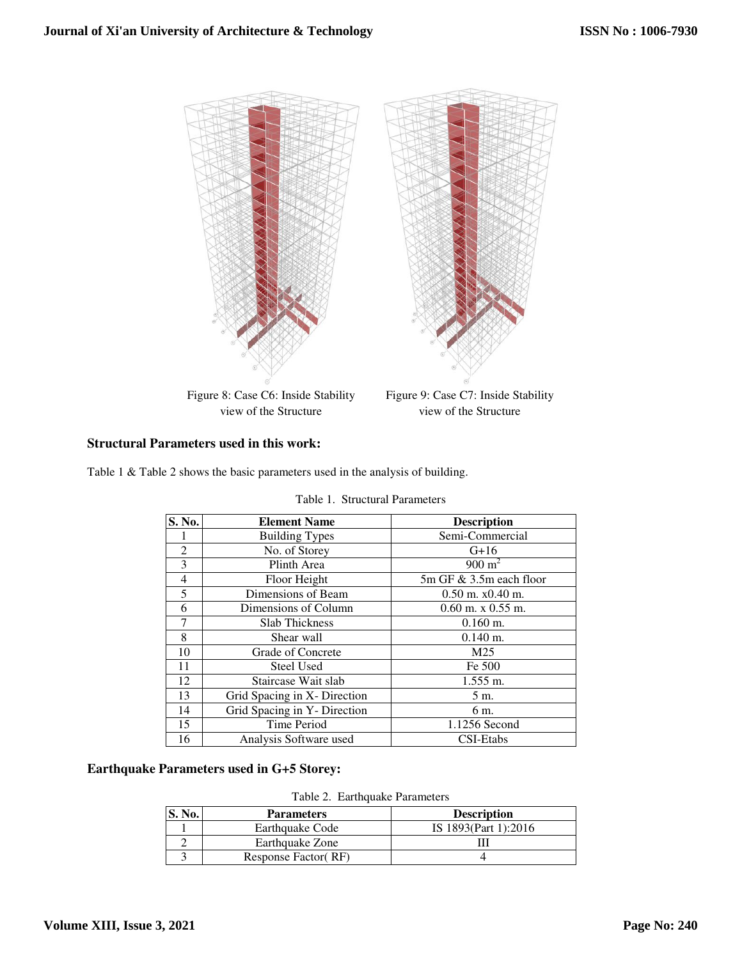

## **Structural Parameters used in this work:**

Table 1 & Table 2 shows the basic parameters used in the analysis of building.

| S. No.         | <b>Element Name</b>          | <b>Description</b>      |  |  |
|----------------|------------------------------|-------------------------|--|--|
|                | <b>Building Types</b>        | Semi-Commercial         |  |  |
| $\overline{2}$ | No. of Storey                | $G+16$                  |  |  |
| 3              | Plinth Area                  | $900 \text{ m}^2$       |  |  |
| $\overline{4}$ | Floor Height                 | 5m GF & 3.5m each floor |  |  |
| 5              | Dimensions of Beam           | $0.50$ m. $x0.40$ m.    |  |  |
| 6              | Dimensions of Column         | $0.60$ m. x $0.55$ m.   |  |  |
| 7              | <b>Slab Thickness</b>        | $0.160$ m.              |  |  |
| 8              | Shear wall                   | $0.140$ m.              |  |  |
| 10             | Grade of Concrete            | M <sub>25</sub>         |  |  |
| 11             | <b>Steel Used</b>            | Fe 500                  |  |  |
| 12             | Staircase Wait slab          | $1.555$ m.              |  |  |
| 13             | Grid Spacing in X- Direction | 5 m.                    |  |  |
| 14             | Grid Spacing in Y- Direction | 6 m.                    |  |  |
| 15             | <b>Time Period</b>           | 1.1256 Second           |  |  |
| 16             | Analysis Software used       | CSI-Etabs               |  |  |

|  |  | Table 1. Structural Parameters |
|--|--|--------------------------------|
|--|--|--------------------------------|

**Earthquake Parameters used in G+5 Storey:** 

Table 2. Earthquake Parameters

| S. No. | <b>Description</b><br><b>Parameters</b> |                      |
|--------|-----------------------------------------|----------------------|
|        | Earthquake Code                         | IS 1893(Part 1):2016 |
|        | Earthquake Zone                         |                      |
|        | Response Factor (RF)                    |                      |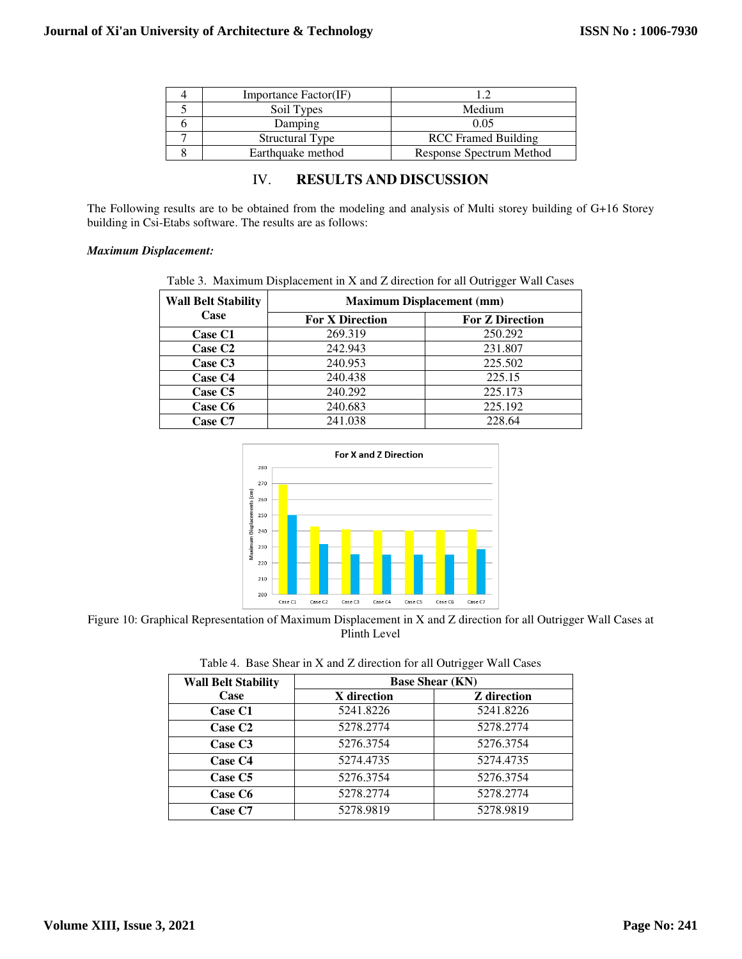| Importance Factor(IF) |                            |
|-----------------------|----------------------------|
| Soil Types            | Medium                     |
| Damping               | 0.05                       |
| Structural Type       | <b>RCC</b> Framed Building |
| Earthquake method     | Response Spectrum Method   |

# IV. **RESULTS AND DISCUSSION**

The Following results are to be obtained from the modeling and analysis of Multi storey building of G+16 Storey building in Csi-Etabs software. The results are as follows:

#### *Maximum Displacement:*

| <b>Wall Belt Stability</b> | <b>Maximum Displacement (mm)</b> |                        |  |  |
|----------------------------|----------------------------------|------------------------|--|--|
| Case                       | <b>For X Direction</b>           | <b>For Z Direction</b> |  |  |
| Case C1                    | 269.319                          | 250.292                |  |  |
| Case C <sub>2</sub>        | 242.943                          | 231.807                |  |  |
| Case C <sub>3</sub>        | 240.953                          | 225.502                |  |  |
| Case C <sub>4</sub>        | 240.438                          | 225.15                 |  |  |
| Case C5                    | 240.292                          | 225.173                |  |  |
| Case C6                    | 240.683                          | 225.192                |  |  |
| Case C7                    | 241.038                          | 228.64                 |  |  |



Figure 10: Graphical Representation of Maximum Displacement in X and Z direction for all Outrigger Wall Cases at Plinth Level

|  |  |  |  |  |  |  |  |  | Table 4. Base Shear in X and Z direction for all Outrigger Wall Cases |  |  |
|--|--|--|--|--|--|--|--|--|-----------------------------------------------------------------------|--|--|
|--|--|--|--|--|--|--|--|--|-----------------------------------------------------------------------|--|--|

| <b>Wall Belt Stability</b> | <b>Base Shear (KN)</b> |                    |  |  |
|----------------------------|------------------------|--------------------|--|--|
| Case                       | X direction            | <b>Z</b> direction |  |  |
| Case C1                    | 5241.8226              | 5241.8226          |  |  |
| Case C <sub>2</sub>        | 5278.2774              | 5278.2774          |  |  |
| Case C <sub>3</sub>        | 5276.3754              | 5276.3754          |  |  |
| Case C <sub>4</sub>        | 5274.4735              | 5274.4735          |  |  |
| Case C <sub>5</sub>        | 5276.3754              | 5276.3754          |  |  |
| Case C <sub>6</sub>        | 5278.2774              | 5278.2774          |  |  |
| Case C7                    | 5278.9819              | 5278.9819          |  |  |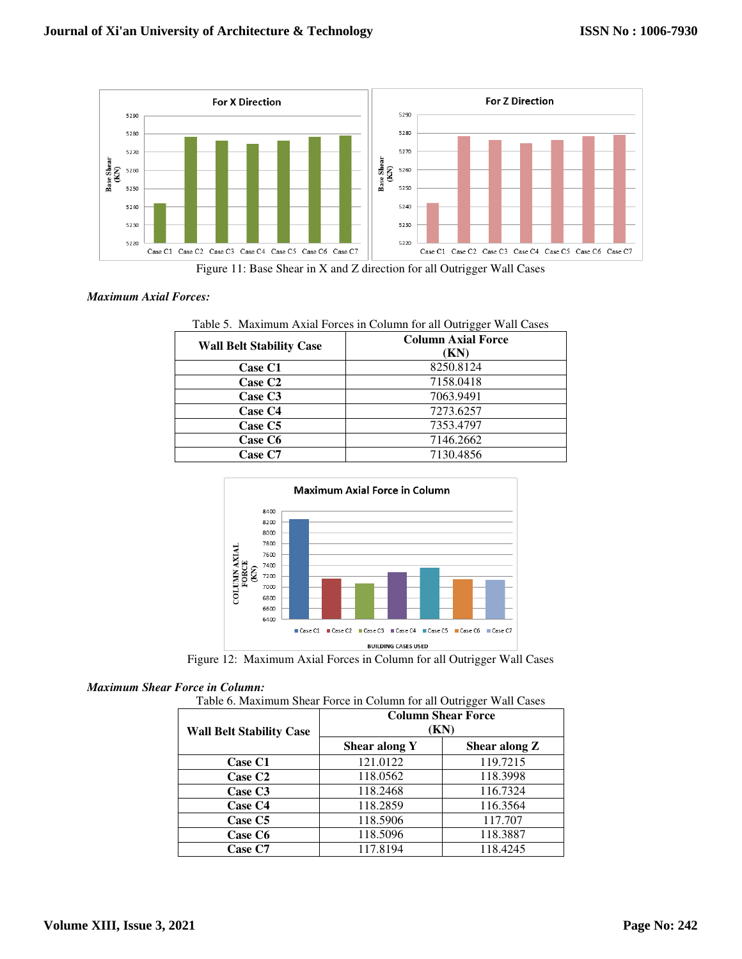

Figure 11: Base Shear in X and Z direction for all Outrigger Wall Cases

#### *Maximum Axial Forces:*

| Table 5. Maximum Axial Forces in Column for all Outrigger Wall Cases |                           |  |  |  |
|----------------------------------------------------------------------|---------------------------|--|--|--|
| <b>Wall Belt Stability Case</b>                                      | <b>Column Axial Force</b> |  |  |  |
|                                                                      | (KN)                      |  |  |  |
| Case C1                                                              | 8250.8124                 |  |  |  |
| Case C <sub>2</sub>                                                  | 7158.0418                 |  |  |  |
| Case C <sub>3</sub>                                                  | 7063.9491                 |  |  |  |
| Case C4                                                              | 7273.6257                 |  |  |  |
| Case C5                                                              | 7353.4797                 |  |  |  |
| Case C6                                                              | 7146.2662                 |  |  |  |
| Case C7                                                              | 7130.4856                 |  |  |  |



Figure 12: Maximum Axial Forces in Column for all Outrigger Wall Cases

#### *Maximum Shear Force in Column:*

|  | Table 6. Maximum Shear Force in Column for all Outrigger Wall Cases |
|--|---------------------------------------------------------------------|
|--|---------------------------------------------------------------------|

| <b>Wall Belt Stability Case</b> | oo :<br><b>Column Shear Force</b><br>(KN) |               |  |  |
|---------------------------------|-------------------------------------------|---------------|--|--|
|                                 | Shear along Y                             | Shear along Z |  |  |
| Case C1                         | 121.0122                                  | 119.7215      |  |  |
| <b>Case C2</b>                  | 118.0562                                  | 118.3998      |  |  |
| Case C <sub>3</sub>             | 118.2468                                  | 116.7324      |  |  |
| Case C4                         | 118.2859                                  | 116.3564      |  |  |
| Case C5                         | 118.5906                                  | 117.707       |  |  |
| Case C6                         | 118.5096                                  | 118.3887      |  |  |
| Case C7                         | 117.8194                                  | 118.4245      |  |  |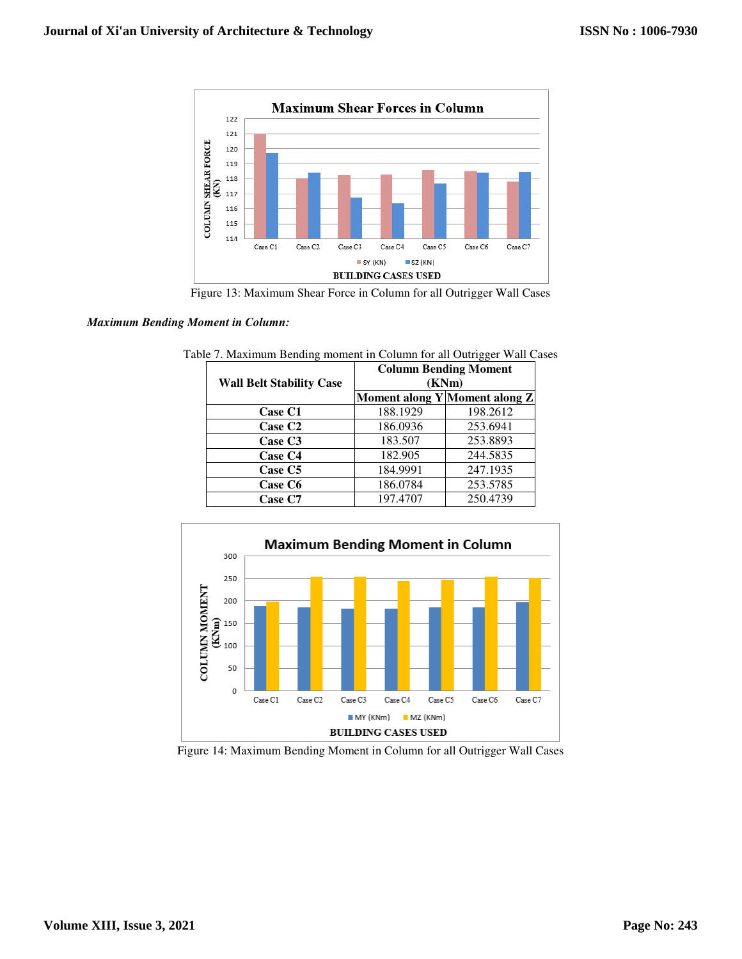

Figure 13: Maximum Shear Force in Column for all Outrigger Wall Cases

#### *Maximum Bending Moment in Column:*

| <b>Wall Belt Stability Case</b> | <b>Column Bending Moment</b><br>(KNm) |                               |  |  |
|---------------------------------|---------------------------------------|-------------------------------|--|--|
|                                 |                                       | Moment along Y Moment along Z |  |  |
| Case C1                         | 188.1929                              | 198.2612                      |  |  |
| Case C <sub>2</sub>             | 186.0936                              | 253.6941                      |  |  |
| Case C <sub>3</sub>             | 183.507                               | 253.8893                      |  |  |
| Case C <sub>4</sub>             | 182.905                               | 244.5835                      |  |  |
| Case C <sub>5</sub>             | 184.9991                              | 247.1935                      |  |  |
| Case C6                         | 186.0784                              | 253.5785                      |  |  |
| Case C7                         | 197.4707                              | 250.4739                      |  |  |



Figure 14: Maximum Bending Moment in Column for all Outrigger Wall Cases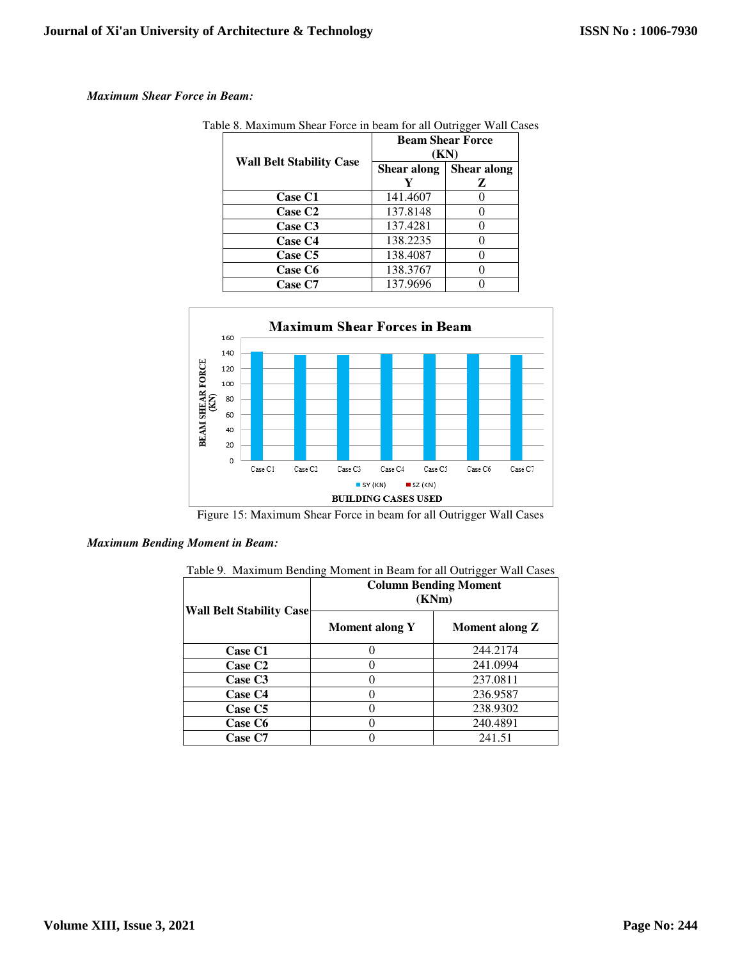#### *Maximum Shear Force in Beam:*

| <b>Wall Belt Stability Case</b> | <b>Beam Shear Force</b><br>(KN) |                  |  |
|---------------------------------|---------------------------------|------------------|--|
|                                 | Shear along<br>Y                | Shear along<br>z |  |
| Case C1                         | 141.4607                        |                  |  |
| Case C <sub>2</sub>             | 137.8148                        |                  |  |
| Case C <sub>3</sub>             | 137.4281                        |                  |  |
| Case C4                         | 138.2235                        |                  |  |
| Case C5                         | 138.4087                        |                  |  |
| Case C6                         | 138.3767                        |                  |  |
| <b>Case C7</b>                  | 137.9696                        |                  |  |

Table 8. Maximum Shear Force in beam for all Outrigger Wall Cases



Figure 15: Maximum Shear Force in beam for all Outrigger Wall Cases

#### *Maximum Bending Moment in Beam:*

| Table 9. Maximum Bending Moment in Beam for all Outrigger Wall Cases |  |  |  |  |
|----------------------------------------------------------------------|--|--|--|--|
|                                                                      |  |  |  |  |

| <b>Wall Belt Stability Case</b> | <b>Column Bending Moment</b><br>(KNm) |                |  |  |
|---------------------------------|---------------------------------------|----------------|--|--|
|                                 | Moment along Y                        | Moment along Z |  |  |
| Case C1                         |                                       | 244.2174       |  |  |
| Case C <sub>2</sub>             |                                       | 241.0994       |  |  |
| Case C <sub>3</sub>             |                                       | 237.0811       |  |  |
| Case C4                         |                                       | 236.9587       |  |  |
| Case C5                         |                                       | 238.9302       |  |  |
| Case C6                         |                                       | 240.4891       |  |  |
| Case C7                         |                                       | 241.51         |  |  |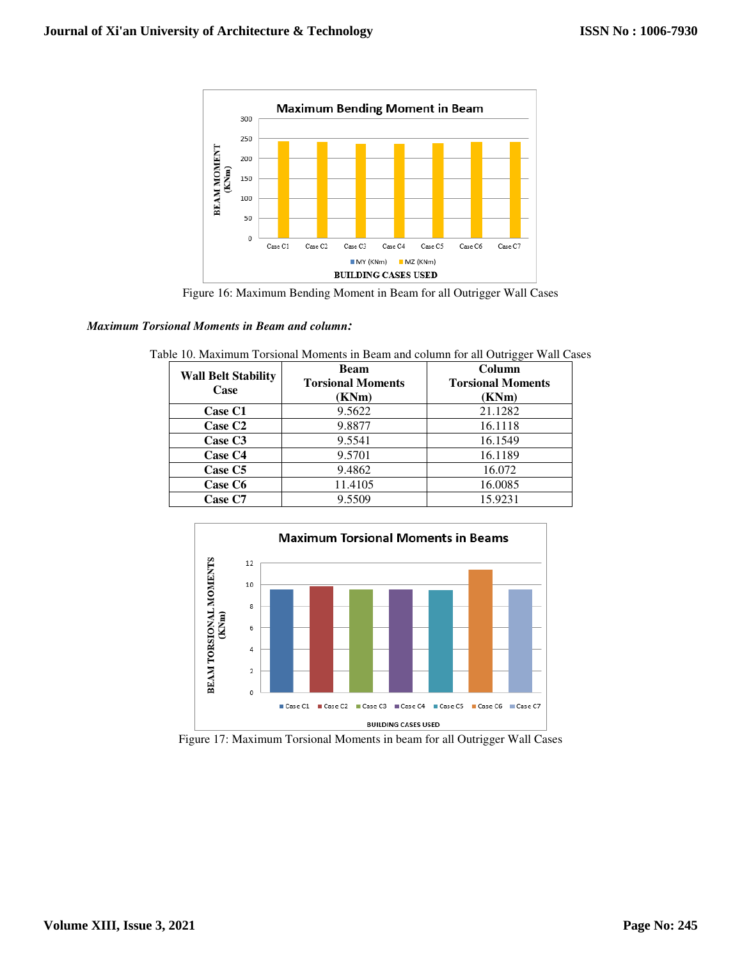

Figure 16: Maximum Bending Moment in Beam for all Outrigger Wall Cases

#### *Maximum Torsional Moments in Beam and column:*

| <b>Wall Belt Stability</b><br>Case | <b>Beam</b>              | Column                   |  |
|------------------------------------|--------------------------|--------------------------|--|
|                                    | <b>Torsional Moments</b> | <b>Torsional Moments</b> |  |
|                                    | (KNm)                    | (KNm)                    |  |
| <b>Case C1</b>                     | 9.5622                   | 21.1282                  |  |
| <b>Case C2</b>                     | 9.8877                   | 16.1118                  |  |
| Case C <sub>3</sub>                | 9.5541                   | 16.1549                  |  |
| Case C4                            | 9.5701                   | 16.1189                  |  |
| Case C5                            | 9.4862                   | 16.072                   |  |
| Case C6                            | 11.4105                  | 16.0085                  |  |
| Case C7                            | 9.5509                   | 15.9231                  |  |

Table 10. Maximum Torsional Moments in Beam and column for all Outrigger Wall Cases



Figure 17: Maximum Torsional Moments in beam for all Outrigger Wall Cases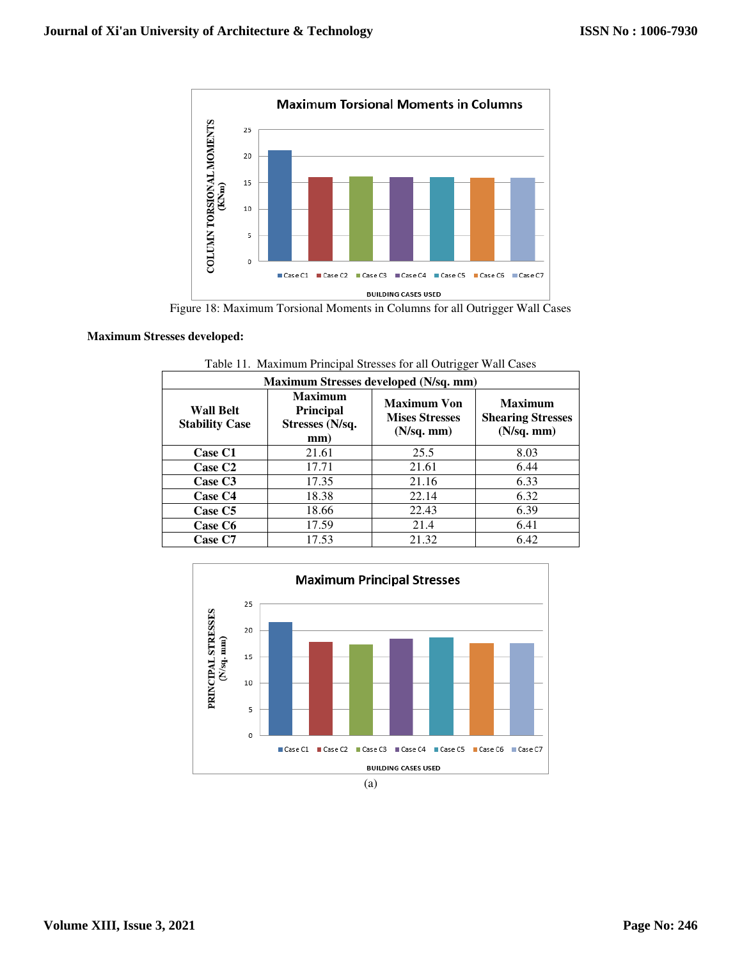

Figure 18: Maximum Torsional Moments in Columns for all Outrigger Wall Cases

#### **Maximum Stresses developed:**

| Maximum Stresses developed (N/sq. mm)     |                                                              |                                                                |                                                          |
|-------------------------------------------|--------------------------------------------------------------|----------------------------------------------------------------|----------------------------------------------------------|
| <b>Wall Belt</b><br><b>Stability Case</b> | <b>Maximum</b><br><b>Principal</b><br>Stresses (N/sq.<br>mm) | <b>Maximum Von</b><br><b>Mises Stresses</b><br>$(N/sq.$ mm $)$ | <b>Maximum</b><br><b>Shearing Stresses</b><br>(N/sq. mm) |
| Case C1                                   | 21.61                                                        | 25.5                                                           | 8.03                                                     |
| Case C <sub>2</sub>                       | 17.71                                                        | 21.61                                                          | 6.44                                                     |
| Case C <sub>3</sub>                       | 17.35                                                        | 21.16                                                          | 6.33                                                     |
| Case C <sub>4</sub>                       | 18.38                                                        | 22.14                                                          | 6.32                                                     |
| Case C5                                   | 18.66                                                        | 22.43                                                          | 6.39                                                     |
| Case C6                                   | 17.59                                                        | 21.4                                                           | 6.41                                                     |
| Case C7                                   | 17.53                                                        | 21.32                                                          | 6.42                                                     |

Table 11. Maximum Principal Stresses for all Outrigger Wall Cases

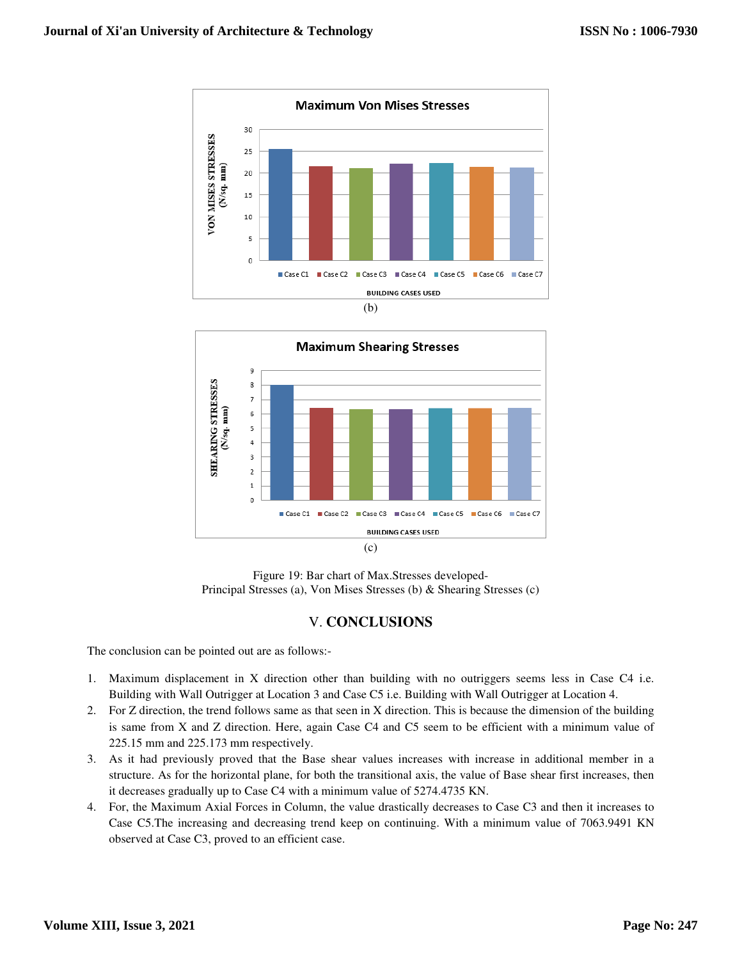



Figure 19: Bar chart of Max.Stresses developed-Principal Stresses (a), Von Mises Stresses (b) & Shearing Stresses (c)

# V. **CONCLUSIONS**

The conclusion can be pointed out are as follows:-

- 1. Maximum displacement in X direction other than building with no outriggers seems less in Case C4 i.e. Building with Wall Outrigger at Location 3 and Case C5 i.e. Building with Wall Outrigger at Location 4.
- 2. For Z direction, the trend follows same as that seen in X direction. This is because the dimension of the building is same from X and Z direction. Here, again Case C4 and C5 seem to be efficient with a minimum value of 225.15 mm and 225.173 mm respectively.
- 3. As it had previously proved that the Base shear values increases with increase in additional member in a structure. As for the horizontal plane, for both the transitional axis, the value of Base shear first increases, then it decreases gradually up to Case C4 with a minimum value of 5274.4735 KN.
- 4. For, the Maximum Axial Forces in Column, the value drastically decreases to Case C3 and then it increases to Case C5.The increasing and decreasing trend keep on continuing. With a minimum value of 7063.9491 KN observed at Case C3, proved to an efficient case.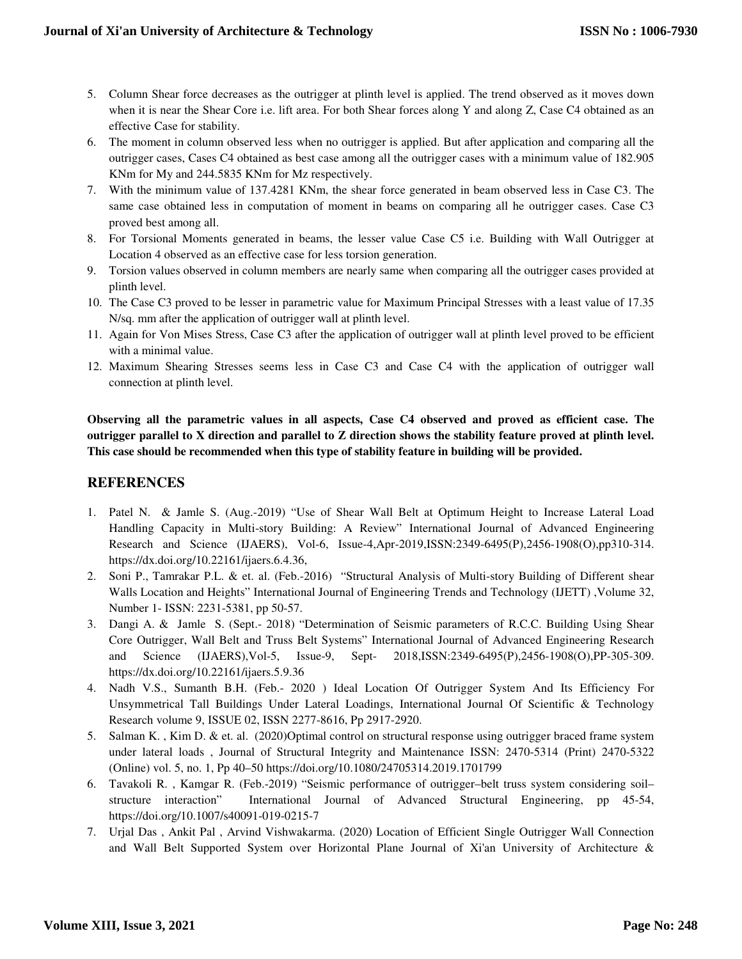- 5. Column Shear force decreases as the outrigger at plinth level is applied. The trend observed as it moves down when it is near the Shear Core i.e. lift area. For both Shear forces along Y and along Z, Case C4 obtained as an effective Case for stability.
- 6. The moment in column observed less when no outrigger is applied. But after application and comparing all the outrigger cases, Cases C4 obtained as best case among all the outrigger cases with a minimum value of 182.905 KNm for My and 244.5835 KNm for Mz respectively.
- 7. With the minimum value of 137.4281 KNm, the shear force generated in beam observed less in Case C3. The same case obtained less in computation of moment in beams on comparing all he outrigger cases. Case C3 proved best among all.
- 8. For Torsional Moments generated in beams, the lesser value Case C5 i.e. Building with Wall Outrigger at Location 4 observed as an effective case for less torsion generation.
- 9. Torsion values observed in column members are nearly same when comparing all the outrigger cases provided at plinth level.
- 10. The Case C3 proved to be lesser in parametric value for Maximum Principal Stresses with a least value of 17.35 N/sq. mm after the application of outrigger wall at plinth level.
- 11. Again for Von Mises Stress, Case C3 after the application of outrigger wall at plinth level proved to be efficient with a minimal value.
- 12. Maximum Shearing Stresses seems less in Case C3 and Case C4 with the application of outrigger wall connection at plinth level.

**Observing all the parametric values in all aspects, Case C4 observed and proved as efficient case. The outrigger parallel to X direction and parallel to Z direction shows the stability feature proved at plinth level. This case should be recommended when this type of stability feature in building will be provided.** 

# **REFERENCES**

- 1. Patel N. & Jamle S. (Aug.-2019) "Use of Shear Wall Belt at Optimum Height to Increase Lateral Load Handling Capacity in Multi-story Building: A Review" International Journal of Advanced Engineering Research and Science (IJAERS), Vol-6, Issue-4,Apr-2019,ISSN:2349-6495(P),2456-1908(O),pp310-314. https://dx.doi.org/10.22161/ijaers.6.4.36,
- 2. Soni P., Tamrakar P.L. & et. al. (Feb.-2016) "Structural Analysis of Multi-story Building of Different shear Walls Location and Heights" International Journal of Engineering Trends and Technology (IJETT) ,Volume 32, Number 1- ISSN: 2231-5381, pp 50-57.
- 3. Dangi A. & Jamle S. (Sept.- 2018) "Determination of Seismic parameters of R.C.C. Building Using Shear Core Outrigger, Wall Belt and Truss Belt Systems" International Journal of Advanced Engineering Research and Science (IJAERS),Vol-5, Issue-9, Sept- 2018,ISSN:2349-6495(P),2456-1908(O),PP-305-309. https://dx.doi.org/10.22161/ijaers.5.9.36
- 4. Nadh V.S., Sumanth B.H. (Feb.- 2020 ) Ideal Location Of Outrigger System And Its Efficiency For Unsymmetrical Tall Buildings Under Lateral Loadings, International Journal Of Scientific & Technology Research volume 9, ISSUE 02, ISSN 2277-8616, Pp 2917-2920.
- 5. Salman K. , Kim D. & et. al. (2020)Optimal control on structural response using outrigger braced frame system under lateral loads , Journal of Structural Integrity and Maintenance ISSN: 2470-5314 (Print) 2470-5322 (Online) vol. 5, no. 1, Pp 40–50 https://doi.org/10.1080/24705314.2019.1701799
- 6. Tavakoli R. , Kamgar R. (Feb.-2019) "Seismic performance of outrigger–belt truss system considering soil– structure interaction" International Journal of Advanced Structural Engineering, pp 45-54, https://doi.org/10.1007/s40091-019-0215-7
- 7. Urjal Das , Ankit Pal , Arvind Vishwakarma. (2020) Location of Efficient Single Outrigger Wall Connection and Wall Belt Supported System over Horizontal Plane Journal of Xi'an University of Architecture &